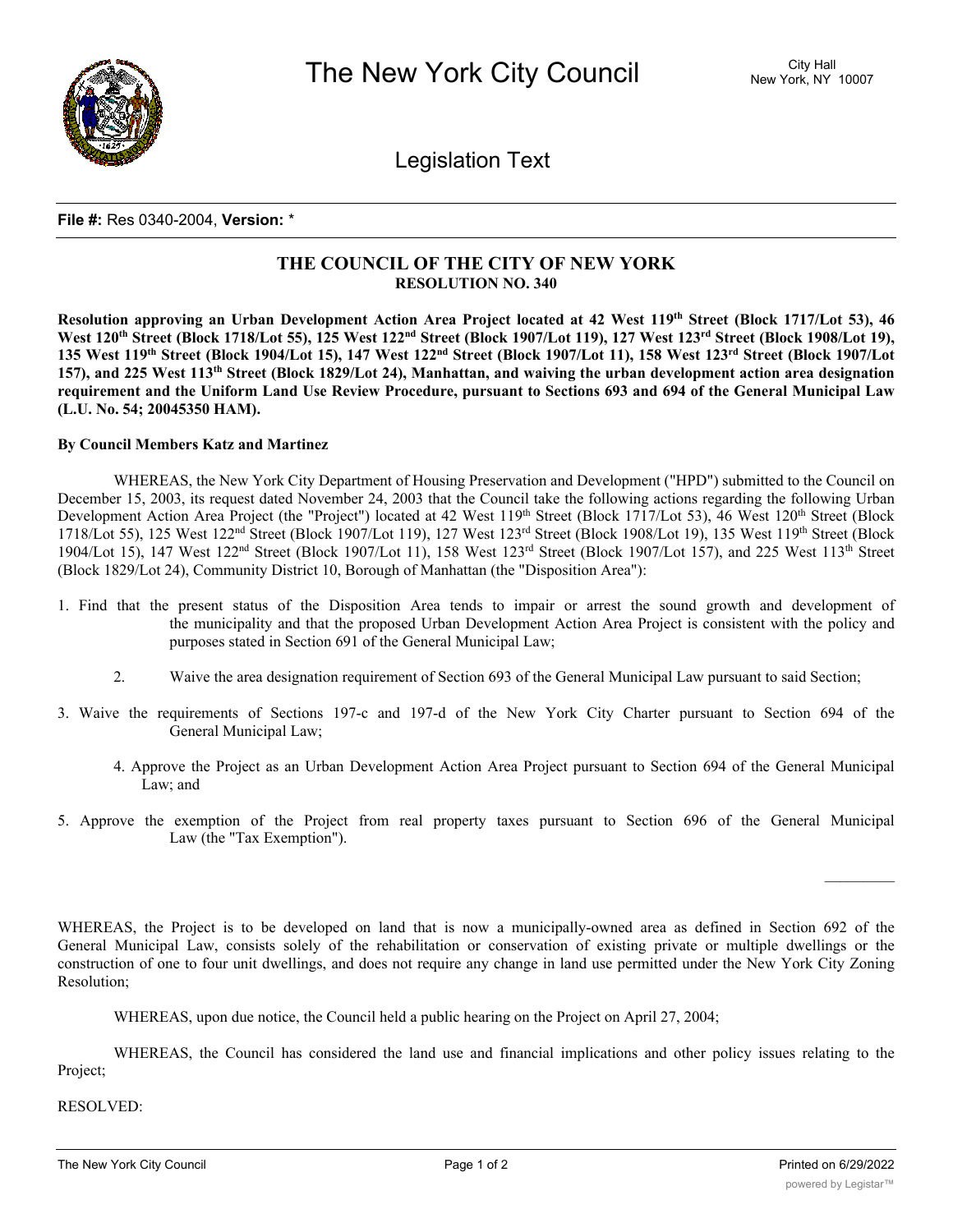

Legislation Text

## **File #:** Res 0340-2004, **Version:** \*

## **THE COUNCIL OF THE CITY OF NEW YORK RESOLUTION NO. 340**

Resolution approving an Urban Development Action Area Project located at 42 West 119th Street (Block 1717/Lot 53), 46 West 120<sup>th</sup> Street (Block 1718/Lot 55), 125 West 122<sup>nd</sup> Street (Block 1907/Lot 119), 127 West 123<sup>rd</sup> Street (Block 1908/Lot 19), 135 West 119th Street (Block 1904/Lot 15), 147 West 122<sup>nd</sup> Street (Block 1907/Lot 11), 158 West 123<sup>rd</sup> Street (Block 1907/Lot 157), and 225 West 113<sup>th</sup> Street (Block 1829/Lot 24), Manhattan, and waiving the urban development action area designation requirement and the Uniform Land Use Review Procedure, pursuant to Sections 693 and 694 of the General Municipal Law **(L.U. No. 54; 20045350 HAM).**

## **By Council Members Katz and Martinez**

WHEREAS, the New York City Department of Housing Preservation and Development ("HPD") submitted to the Council on December 15, 2003, its request dated November 24, 2003 that the Council take the following actions regarding the following Urban Development Action Area Project (the "Project") located at 42 West 119<sup>th</sup> Street (Block 1717/Lot 53), 46 West 120<sup>th</sup> Street (Block 1718/Lot 55), 125 West 122<sup>nd</sup> Street (Block 1907/Lot 119), 127 West 123<sup>rd</sup> Street (Block 1908/Lot 19), 135 West 119<sup>th</sup> Street (Block 1904/Lot 15), 147 West 122nd Street (Block 1907/Lot 11), 158 West 123rd Street (Block 1907/Lot 157), and 225 West 113th Street (Block 1829/Lot 24), Community District 10, Borough of Manhattan (the "Disposition Area"):

- 1. Find that the present status of the Disposition Area tends to impair or arrest the sound growth and development of the municipality and that the proposed Urban Development Action Area Project is consistent with the policy and purposes stated in Section 691 of the General Municipal Law;
	- 2. Waive the area designation requirement of Section 693 of the General Municipal Law pursuant to said Section;
- 3. Waive the requirements of Sections 197-c and 197-d of the New York City Charter pursuant to Section 694 of the General Municipal Law;
	- 4. Approve the Project as an Urban Development Action Area Project pursuant to Section 694 of the General Municipal Law; and
- 5. Approve the exemption of the Project from real property taxes pursuant to Section 696 of the General Municipal Law (the "Tax Exemption").

WHEREAS, the Project is to be developed on land that is now a municipally-owned area as defined in Section 692 of the General Municipal Law, consists solely of the rehabilitation or conservation of existing private or multiple dwellings or the construction of one to four unit dwellings, and does not require any change in land use permitted under the New York City Zoning Resolution;

WHEREAS, upon due notice, the Council held a public hearing on the Project on April 27, 2004;

WHEREAS, the Council has considered the land use and financial implications and other policy issues relating to the Project;

RESOLVED: